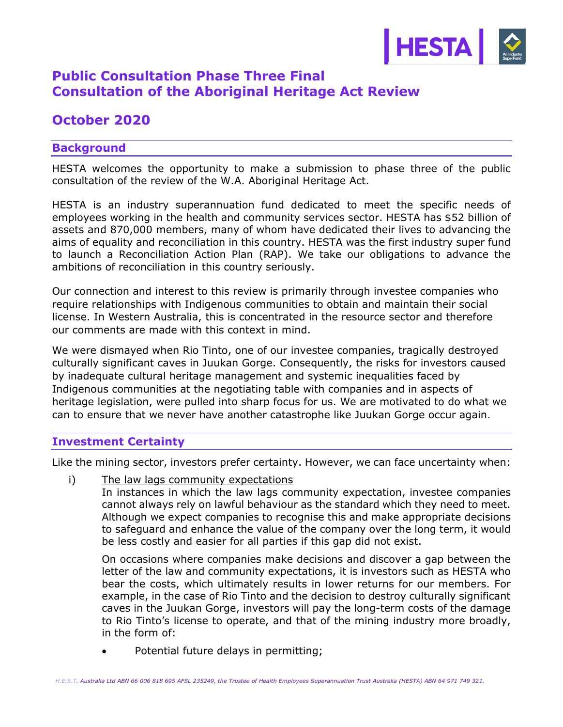

# **Public Consultation Phase Three Final Consultation of the Aboriginal Heritage Act Review**

## **October 2020**

## **Background**

HESTA welcomes the opportunity to make a submission to phase three of the public consultation of the review of the W.A. Aboriginal Heritage Act.

HESTA is an industry superannuation fund dedicated to meet the specific needs of employees working in the health and community services sector. HESTA has \$52 billion of assets and 870,000 members, many of whom have dedicated their lives to advancing the aims of equality and reconciliation in this country. HESTA was the first industry super fund to launch a Reconciliation Action Plan (RAP). We take our obligations to advance the ambitions of reconciliation in this country seriously.

Our connection and interest to this review is primarily through investee companies who require relationships with Indigenous communities to obtain and maintain their social license. In Western Australia, this is concentrated in the resource sector and therefore our comments are made with this context in mind.

We were dismayed when Rio Tinto, one of our investee companies, tragically destroyed culturally significant caves in Juukan Gorge. Consequently, the risks for investors caused by inadequate cultural heritage management and systemic inequalities faced by Indigenous communities at the negotiating table with companies and in aspects of heritage legislation, were pulled into sharp focus for us. We are motivated to do what we can to ensure that we never have another catastrophe like Juukan Gorge occur again.

## **Investment Certainty**

Like the mining sector, investors prefer certainty. However, we can face uncertainty when:

i) The law lags community expectations

In instances in which the law lags community expectation, investee companies cannot always rely on lawful behaviour as the standard which they need to meet. Although we expect companies to recognise this and make appropriate decisions to safeguard and enhance the value of the company over the long term, it would be less costly and easier for all parties if this gap did not exist.

On occasions where companies make decisions and discover a gap between the letter of the law and community expectations, it is investors such as HESTA who bear the costs, which ultimately results in lower returns for our members. For example, in the case of Rio Tinto and the decision to destroy culturally significant caves in the Juukan Gorge, investors will pay the long-term costs of the damage to Rio Tinto's license to operate, and that of the mining industry more broadly, in the form of:

Potential future delays in permitting;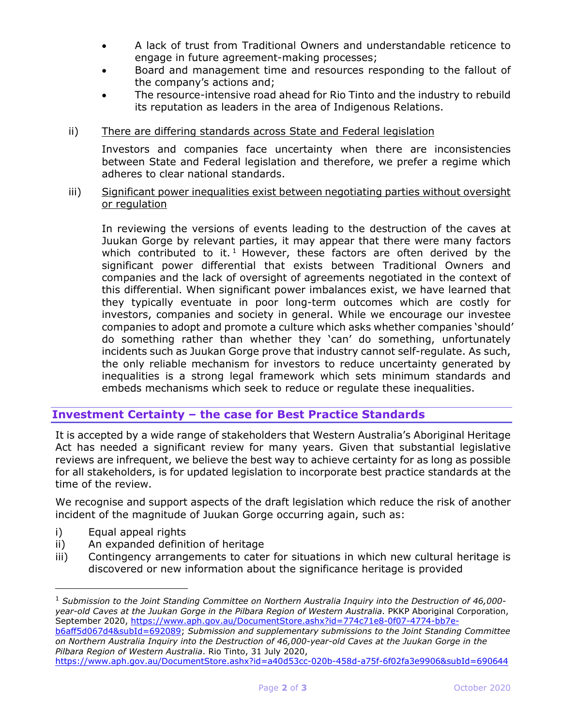- A lack of trust from Traditional Owners and understandable reticence to engage in future agreement-making processes;
- Board and management time and resources responding to the fallout of the company's actions and;
- The resource-intensive road ahead for Rio Tinto and the industry to rebuild its reputation as leaders in the area of Indigenous Relations.

#### ii) There are differing standards across State and Federal legislation

Investors and companies face uncertainty when there are inconsistencies between State and Federal legislation and therefore, we prefer a regime which adheres to clear national standards.

#### iii) Significant power inequalities exist between negotiating parties without oversight or regulation

In reviewing the versions of events leading to the destruction of the caves at Juukan Gorge by relevant parties, it may appear that there were many factors which contributed to it.<sup>1</sup> However, these factors are often derived by the significant power differential that exists between Traditional Owners and companies and the lack of oversight of agreements negotiated in the context of this differential. When significant power imbalances exist, we have learned that they typically eventuate in poor long-term outcomes which are costly for investors, companies and society in general. While we encourage our investee companies to adopt and promote a culture which asks whether companies 'should' do something rather than whether they 'can' do something, unfortunately incidents such as Juukan Gorge prove that industry cannot self-regulate. As such, the only reliable mechanism for investors to reduce uncertainty generated by inequalities is a strong legal framework which sets minimum standards and embeds mechanisms which seek to reduce or regulate these inequalities.

## **Investment Certainty – the case for Best Practice Standards**

It is accepted by a wide range of stakeholders that Western Australia's Aboriginal Heritage Act has needed a significant review for many years. Given that substantial legislative reviews are infrequent, we believe the best way to achieve certainty for as long as possible for all stakeholders, is for updated legislation to incorporate best practice standards at the time of the review.

We recognise and support aspects of the draft legislation which reduce the risk of another incident of the magnitude of Juukan Gorge occurring again, such as:

- i) Equal appeal rights
- ii) An expanded definition of heritage
- iii) Contingency arrangements to cater for situations in which new cultural heritage is discovered or new information about the significance heritage is provided

[b6aff5d067d4&subId=692089;](https://www.aph.gov.au/DocumentStore.ashx?id=774c71e8-0f07-4774-bb7e-b6aff5d067d4&subId=692089) *Submission and supplementary submissions to the Joint Standing Committee on Northern Australia Inquiry into the Destruction of 46,000-year-old Caves at the Juukan Gorge in the Pilbara Region of Western Australia*. Rio Tinto, 31 July 2020,

<https://www.aph.gov.au/DocumentStore.ashx?id=a40d53cc-020b-458d-a75f-6f02fa3e9906&subId=690644>

<sup>1</sup> *Submission to the Joint Standing Committee on Northern Australia Inquiry into the Destruction of 46,000 year-old Caves at the Juukan Gorge in the Pilbara Region of Western Australia*. PKKP Aboriginal Corporation, September 2020, [https://www.aph.gov.au/DocumentStore.ashx?id=774c71e8-0f07-4774-bb7e-](https://www.aph.gov.au/DocumentStore.ashx?id=774c71e8-0f07-4774-bb7e-b6aff5d067d4&subId=692089)